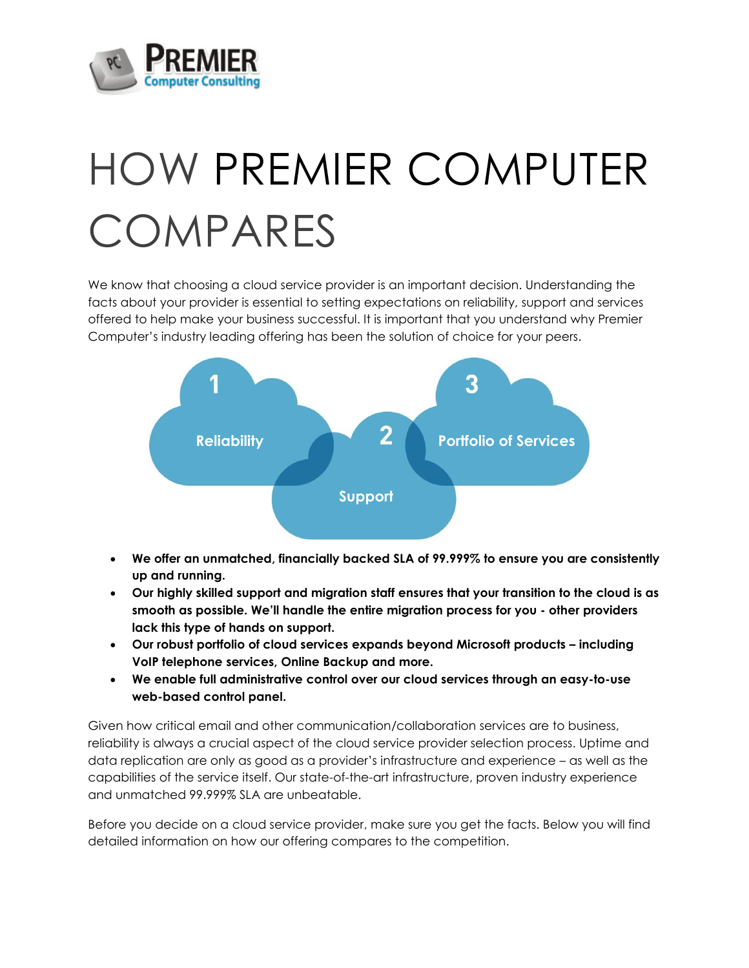

## HOW PREMIER COMPUTER COMPARES

We know that choosing a cloud service provider is an important decision. Understanding the facts about your provider is essential to setting expectations on reliability, support and services offered to help make your business successful. It is important that you understand why Premier Computer's industry leading offering has been the solution of choice for your peers.



- **We offer an unmatched, financially backed SLA of 99.999% to ensure you are consistently up and running.**
- **Our highly skilled support and migration staff ensures that your transition to the cloud is as smooth as possible. We'll handle the entire migration process for you - other providers lack this type of hands on support.**
- **Our robust portfolio of cloud services expands beyond Microsoft products – including VoIP telephone services, Online Backup and more.**
- **We enable full administrative control over our cloud services through an easy-to-use web-based control panel.**

Given how critical email and other communication/collaboration services are to business, reliability is always a crucial aspect of the cloud service provider selection process. Uptime and data replication are only as good as a provider's infrastructure and experience – as well as the capabilities of the service itself. Our state-of-the-art infrastructure, proven industry experience and unmatched 99.999% SLA are unbeatable.

Before you decide on a cloud service provider, make sure you get the facts. Below you will find detailed information on how our offering compares to the competition.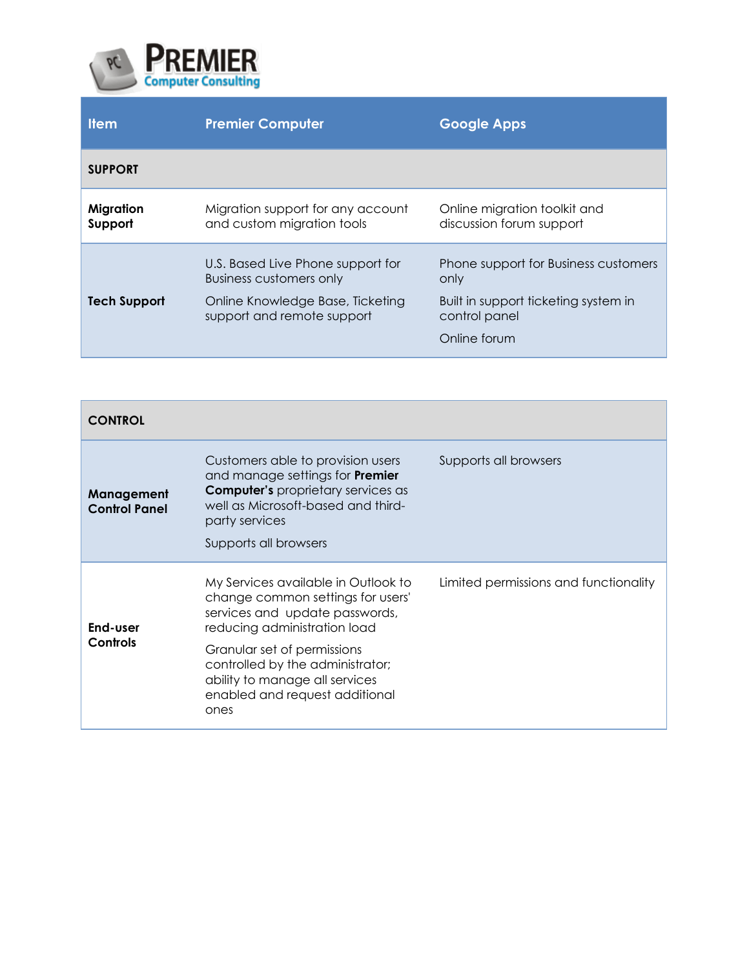

| <b>Item</b>          | <b>Premier Computer</b>                                             | <b>Google Apps</b>                                       |
|----------------------|---------------------------------------------------------------------|----------------------------------------------------------|
| <b>SUPPORT</b>       |                                                                     |                                                          |
| Migration<br>Support | Migration support for any account<br>and custom migration tools     | Online migration toolkit and<br>discussion forum support |
|                      | U.S. Based Live Phone support for<br><b>Business customers only</b> | Phone support for Business customers<br>only             |
| <b>Tech Support</b>  | Online Knowledge Base, Ticketing<br>support and remote support      | Built in support ticketing system in<br>control panel    |
|                      |                                                                     | Online forum                                             |

| <b>CONTROL</b>                     |                                                                                                                                                                                                           |                                       |
|------------------------------------|-----------------------------------------------------------------------------------------------------------------------------------------------------------------------------------------------------------|---------------------------------------|
| Management<br><b>Control Panel</b> | Customers able to provision users<br>and manage settings for <b>Premier</b><br><b>Computer's</b> proprietary services as<br>well as Microsoft-based and third-<br>party services<br>Supports all browsers | Supports all browsers                 |
|                                    |                                                                                                                                                                                                           |                                       |
| End-user<br>Controls               | My Services available in Outlook to<br>change common settings for users'<br>services and update passwords,<br>reducing administration load                                                                | Limited permissions and functionality |
|                                    | Granular set of permissions<br>controlled by the administrator;<br>ability to manage all services<br>enabled and request additional<br>ones                                                               |                                       |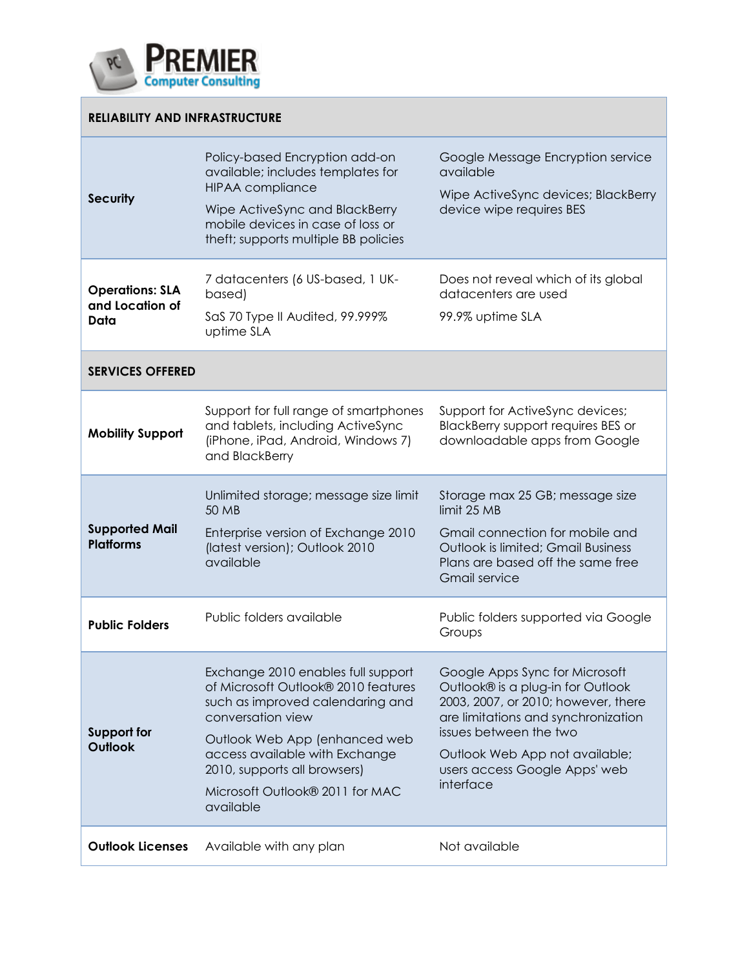

Г

| <b>RELIABILITY AND INFRASTRUCTURE</b>             |                                                                                                                                                                                                                                                                                       |                                                                                                                                                                                                                                                             |  |  |
|---------------------------------------------------|---------------------------------------------------------------------------------------------------------------------------------------------------------------------------------------------------------------------------------------------------------------------------------------|-------------------------------------------------------------------------------------------------------------------------------------------------------------------------------------------------------------------------------------------------------------|--|--|
| <b>Security</b>                                   | Policy-based Encryption add-on<br>available; includes templates for<br><b>HIPAA</b> compliance<br>Wipe ActiveSync and BlackBerry<br>mobile devices in case of loss or<br>theft; supports multiple BB policies                                                                         | Google Message Encryption service<br>available<br>Wipe ActiveSync devices; BlackBerry<br>device wipe requires BES                                                                                                                                           |  |  |
| <b>Operations: SLA</b><br>and Location of<br>Data | 7 datacenters (6 US-based, 1 UK-<br>based)<br>SaS 70 Type II Audited, 99.999%<br>uptime SLA                                                                                                                                                                                           | Does not reveal which of its global<br>datacenters are used<br>99.9% uptime SLA                                                                                                                                                                             |  |  |
| <b>SERVICES OFFERED</b>                           |                                                                                                                                                                                                                                                                                       |                                                                                                                                                                                                                                                             |  |  |
| <b>Mobility Support</b>                           | Support for full range of smartphones<br>and tablets, including ActiveSync<br>(iPhone, iPad, Android, Windows 7)<br>and BlackBerry                                                                                                                                                    | Support for ActiveSync devices;<br>BlackBerry support requires BES or<br>downloadable apps from Google                                                                                                                                                      |  |  |
| <b>Supported Mail</b><br><b>Platforms</b>         | Unlimited storage; message size limit<br>50 MB<br>Enterprise version of Exchange 2010<br>(latest version); Outlook 2010<br>available                                                                                                                                                  | Storage max 25 GB; message size<br>limit 25 MB<br>Gmail connection for mobile and<br>Outlook is limited; Gmail Business<br>Plans are based off the same free<br><b>Gmail service</b>                                                                        |  |  |
| <b>Public Folders</b>                             | Public folders available                                                                                                                                                                                                                                                              | Public folders supported via Google<br>Groups                                                                                                                                                                                                               |  |  |
| <b>Support for</b><br><b>Outlook</b>              | Exchange 2010 enables full support<br>of Microsoft Outlook® 2010 features<br>such as improved calendaring and<br>conversation view<br>Outlook Web App (enhanced web<br>access available with Exchange<br>2010, supports all browsers)<br>Microsoft Outlook® 2011 for MAC<br>available | Google Apps Sync for Microsoft<br>Outlook® is a plug-in for Outlook<br>2003, 2007, or 2010; however, there<br>are limitations and synchronization<br>issues between the two<br>Outlook Web App not available;<br>users access Google Apps' web<br>interface |  |  |
| <b>Outlook Licenses</b>                           | Available with any plan                                                                                                                                                                                                                                                               | Not available                                                                                                                                                                                                                                               |  |  |

٦